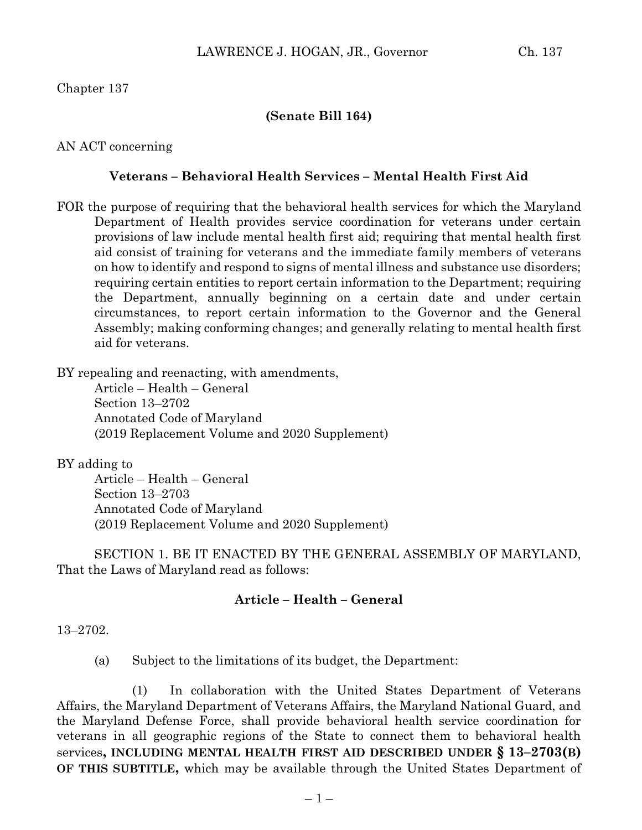### **(Senate Bill 164)**

AN ACT concerning

#### **Veterans – Behavioral Health Services – Mental Health First Aid**

FOR the purpose of requiring that the behavioral health services for which the Maryland Department of Health provides service coordination for veterans under certain provisions of law include mental health first aid; requiring that mental health first aid consist of training for veterans and the immediate family members of veterans on how to identify and respond to signs of mental illness and substance use disorders; requiring certain entities to report certain information to the Department; requiring the Department, annually beginning on a certain date and under certain circumstances, to report certain information to the Governor and the General Assembly; making conforming changes; and generally relating to mental health first aid for veterans.

BY repealing and reenacting, with amendments,

Article – Health – General Section 13–2702 Annotated Code of Maryland (2019 Replacement Volume and 2020 Supplement)

BY adding to

Article – Health – General Section 13–2703 Annotated Code of Maryland (2019 Replacement Volume and 2020 Supplement)

SECTION 1. BE IT ENACTED BY THE GENERAL ASSEMBLY OF MARYLAND, That the Laws of Maryland read as follows:

# **Article – Health – General**

13–2702.

(a) Subject to the limitations of its budget, the Department:

(1) In collaboration with the United States Department of Veterans Affairs, the Maryland Department of Veterans Affairs, the Maryland National Guard, and the Maryland Defense Force, shall provide behavioral health service coordination for veterans in all geographic regions of the State to connect them to behavioral health services**, INCLUDING MENTAL HEALTH FIRST AID DESCRIBED UNDER § 13–2703(B) OF THIS SUBTITLE,** which may be available through the United States Department of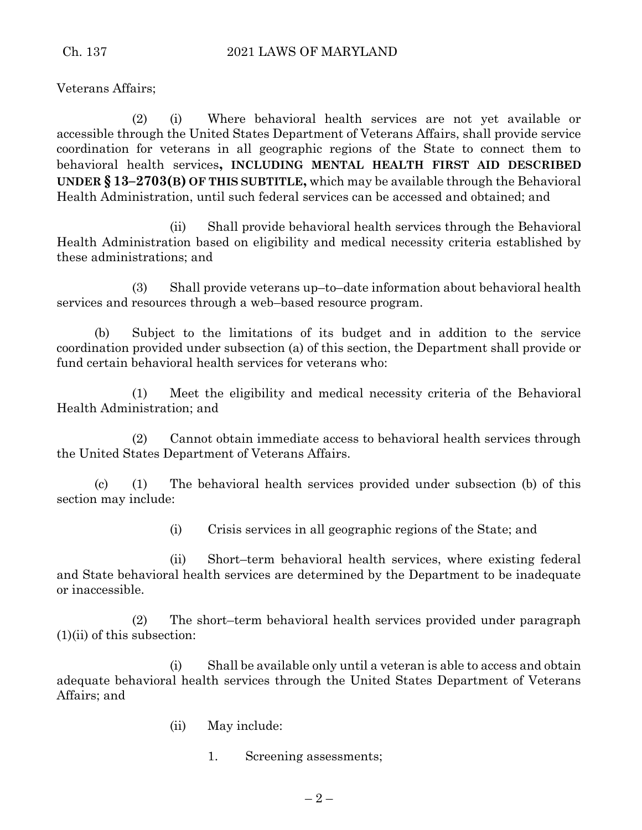Veterans Affairs;

(2) (i) Where behavioral health services are not yet available or accessible through the United States Department of Veterans Affairs, shall provide service coordination for veterans in all geographic regions of the State to connect them to behavioral health services**, INCLUDING MENTAL HEALTH FIRST AID DESCRIBED UNDER § 13–2703(B) OF THIS SUBTITLE,** which may be available through the Behavioral Health Administration, until such federal services can be accessed and obtained; and

(ii) Shall provide behavioral health services through the Behavioral Health Administration based on eligibility and medical necessity criteria established by these administrations; and

(3) Shall provide veterans up–to–date information about behavioral health services and resources through a web–based resource program.

(b) Subject to the limitations of its budget and in addition to the service coordination provided under subsection (a) of this section, the Department shall provide or fund certain behavioral health services for veterans who:

(1) Meet the eligibility and medical necessity criteria of the Behavioral Health Administration; and

(2) Cannot obtain immediate access to behavioral health services through the United States Department of Veterans Affairs.

(c) (1) The behavioral health services provided under subsection (b) of this section may include:

(i) Crisis services in all geographic regions of the State; and

(ii) Short–term behavioral health services, where existing federal and State behavioral health services are determined by the Department to be inadequate or inaccessible.

(2) The short–term behavioral health services provided under paragraph  $(1)(ii)$  of this subsection:

(i) Shall be available only until a veteran is able to access and obtain adequate behavioral health services through the United States Department of Veterans Affairs; and

- (ii) May include:
	- 1. Screening assessments;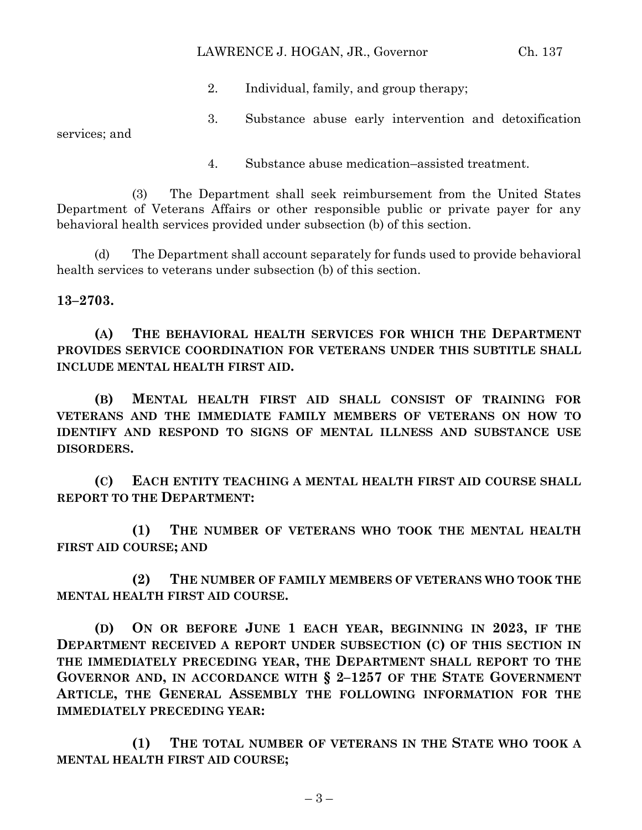### LAWRENCE J. HOGAN, JR., Governor Ch. 137

- 2. Individual, family, and group therapy;
- 3. Substance abuse early intervention and detoxification

services; and

4. Substance abuse medication–assisted treatment.

(3) The Department shall seek reimbursement from the United States Department of Veterans Affairs or other responsible public or private payer for any behavioral health services provided under subsection (b) of this section.

(d) The Department shall account separately for funds used to provide behavioral health services to veterans under subsection (b) of this section.

# **13–2703.**

**(A) THE BEHAVIORAL HEALTH SERVICES FOR WHICH THE DEPARTMENT PROVIDES SERVICE COORDINATION FOR VETERANS UNDER THIS SUBTITLE SHALL INCLUDE MENTAL HEALTH FIRST AID.**

**(B) MENTAL HEALTH FIRST AID SHALL CONSIST OF TRAINING FOR VETERANS AND THE IMMEDIATE FAMILY MEMBERS OF VETERANS ON HOW TO IDENTIFY AND RESPOND TO SIGNS OF MENTAL ILLNESS AND SUBSTANCE USE DISORDERS.**

**(C) EACH ENTITY TEACHING A MENTAL HEALTH FIRST AID COURSE SHALL REPORT TO THE DEPARTMENT:**

**(1) THE NUMBER OF VETERANS WHO TOOK THE MENTAL HEALTH FIRST AID COURSE; AND**

**(2) THE NUMBER OF FAMILY MEMBERS OF VETERANS WHO TOOK THE MENTAL HEALTH FIRST AID COURSE.**

**(D) ON OR BEFORE JUNE 1 EACH YEAR, BEGINNING IN 2023, IF THE DEPARTMENT RECEIVED A REPORT UNDER SUBSECTION (C) OF THIS SECTION IN THE IMMEDIATELY PRECEDING YEAR, THE DEPARTMENT SHALL REPORT TO THE GOVERNOR AND, IN ACCORDANCE WITH § 2–1257 OF THE STATE GOVERNMENT ARTICLE, THE GENERAL ASSEMBLY THE FOLLOWING INFORMATION FOR THE IMMEDIATELY PRECEDING YEAR:**

**(1) THE TOTAL NUMBER OF VETERANS IN THE STATE WHO TOOK A MENTAL HEALTH FIRST AID COURSE;**